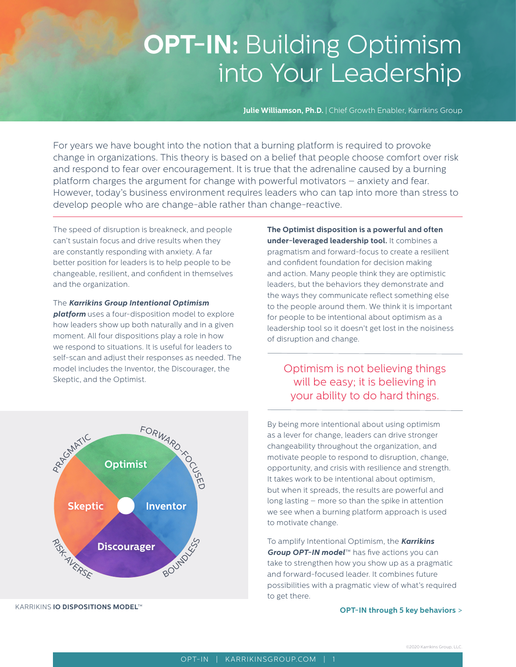# **OPT-IN:** Building Optimism into Your Leadership

**Julie Williamson, Ph.D.** | Chief Growth Enabler, Karrikins Group

For years we have bought into the notion that a burning platform is required to provoke change in organizations. This theory is based on a belief that people choose comfort over risk and respond to fear over encouragement. It is true that the adrenaline caused by a burning platform charges the argument for change with powerful motivators – anxiety and fear. However, today's business environment requires leaders who can tap into more than stress to develop people who are change-able rather than change-reactive.

The speed of disruption is breakneck, and people can't sustain focus and drive results when they are constantly responding with anxiety. A far better position for leaders is to help people to be changeable, resilient, and confident in themselves and the organization.

The *Karrikins Group Intentional Optimism platform* uses a four-disposition model to explore how leaders show up both naturally and in a given moment. All four dispositions play a role in how we respond to situations. It is useful for leaders to self-scan and adjust their responses as needed. The model includes the Inventor, the Discourager, the Skeptic, and the Optimist.

**The Optimist disposition is a powerful and often under-leveraged leadership tool.** It combines a pragmatism and forward-focus to create a resilient and confident foundation for decision making and action. Many people think they are optimistic leaders, but the behaviors they demonstrate and the ways they communicate reflect something else to the people around them. We think it is important for people to be intentional about optimism as a leadership tool so it doesn't get lost in the noisiness of disruption and change.

## Optimism is not believing things will be easy; it is believing in your ability to do hard things.



To amplify Intentional Optimism, the *Karrikins Group OPT-IN model*™ has five actions you can take to strengthen how you show up as a pragmatic and forward-focused leader. It combines future possibilities with a pragmatic view of what's required to get there.

#### **OPT-IN through 5 key behaviors** >



KARRIKINS **IO DISPOSITIONS MODEL**™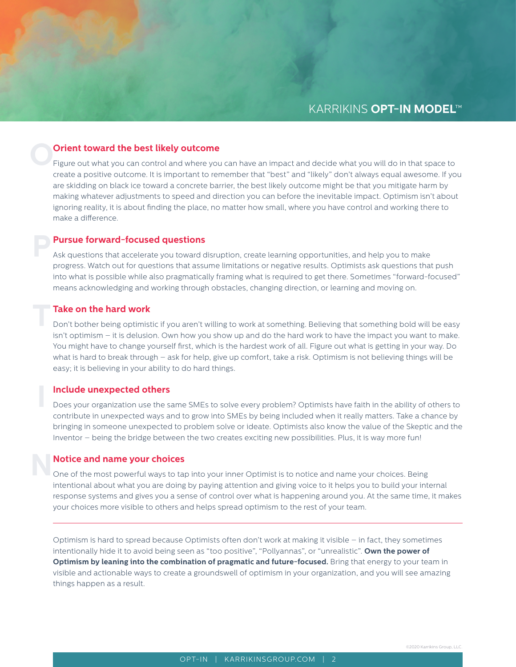# **O Orient toward the best likely outcome**

Figure out what you can control and where you can have an impact and decide what you will do in that space to create a positive outcome. It is important to remember that "best" and "likely" don't always equal awesome. If you are skidding on black ice toward a concrete barrier, the best likely outcome might be that you mitigate harm by making whatever adjustments to speed and direction you can before the inevitable impact. Optimism isn't about ignoring reality, it is about finding the place, no matter how small, where you have control and working there to make a difference.

#### **Pursue forward-focused questions**

Ask questions that accelerate you toward disruption, create learning opportunities, and help you to make progress. Watch out for questions that assume limitations or negative results. Optimists ask questions that push into what is possible while also pragmatically framing what is required to get there. Sometimes "forward-focused" means acknowledging and working through obstacles, changing direction, or learning and moving on.

#### **Take on the hard work**

**P**

**T**

**I**

Don't bother being optimistic if you aren't willing to work at something. Believing that something bold will be easy isn't optimism – it is delusion. Own how you show up and do the hard work to have the impact you want to make. You might have to change yourself first, which is the hardest work of all. Figure out what is getting in your way. Do what is hard to break through – ask for help, give up comfort, take a risk. Optimism is not believing things will be easy; it is believing in your ability to do hard things.

#### **Include unexpected others**

Does your organization use the same SMEs to solve every problem? Optimists have faith in the ability of others to contribute in unexpected ways and to grow into SMEs by being included when it really matters. Take a chance by bringing in someone unexpected to problem solve or ideate. Optimists also know the value of the Skeptic and the Inventor – being the bridge between the two creates exciting new possibilities. Plus, it is way more fun!

#### **Notice and name your choices**

**N** One of the most powerful ways to tap into your inner Optimist is to notice and name your choices. Being intentional about what you are doing by paying attention and giving voice to it helps you to build your internal response systems and gives you a sense of control over what is happening around you. At the same time, it makes your choices more visible to others and helps spread optimism to the rest of your team.

Optimism is hard to spread because Optimists often don't work at making it visible – in fact, they sometimes intentionally hide it to avoid being seen as "too positive", "Pollyannas", or "unrealistic". **Own the power of Optimism by leaning into the combination of pragmatic and future-focused.** Bring that energy to your team in visible and actionable ways to create a groundswell of optimism in your organization, and you will see amazing things happen as a result.